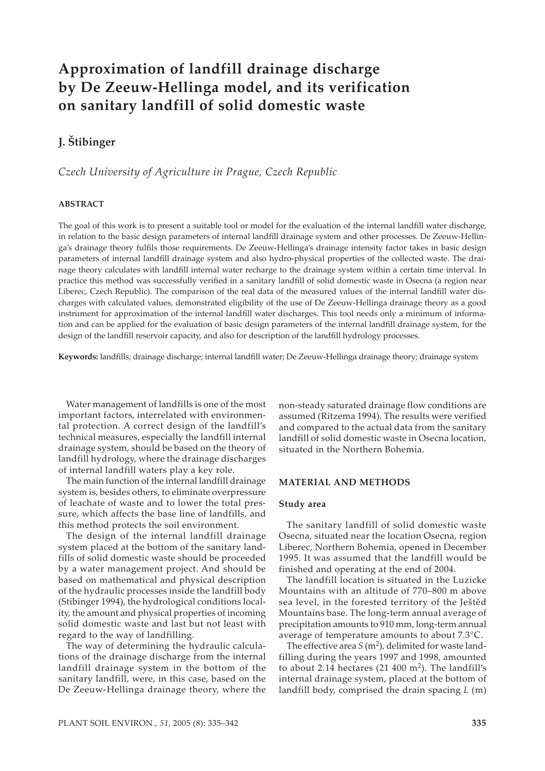# **Approximation of landfill drainage discharge by De Zeeuw-Hellinga model, and its verification on sanitary landfill of solid domestic waste**

## **J. Štibinger**

*Czech University of Agriculture in Prague, Czech Republic*

## **ABSTRACT**

The goal of this work is to present a suitable tool or model for the evaluation of the internal landfill water discharge, in relation to the basic design parameters of internal landfill drainage system and other processes. De Zeeuw-Hellinga's drainage theory fulfils those requirements. De Zeeuw-Hellinga's drainage intensity factor takes in basic design parameters of internal landfill drainage system and also hydro-physical properties of the collected waste. The drainage theory calculates with landfill internal water recharge to the drainage system within a certain time interval. In practice this method was successfully verified in a sanitary landfill of solid domestic waste in Osecna (a region near Liberec, Czech Republic). The comparison of the real data of the measured values of the internal landfill water discharges with calculated values, demonstrated eligibility of the use of De Zeeuw-Hellinga drainage theory as a good instrument for approximation of the internal landfill water discharges. This tool needs only a minimum of information and can be applied for the evaluation of basic design parameters of the internal landfill drainage system, for the design of the landfill reservoir capacity, and also for description of the landfill hydrology processes.

**Keywords:** landfills; drainage discharge; internal landfill water; De Zeeuw-Hellinga drainage theory; drainage system

Water management of landfills is one of the most important factors, interrelated with environmental protection. A correct design of the landfill's technical measures, especially the landfill internal drainage system, should be based on the theory of landfill hydrology, where the drainage discharges of internal landfill waters play a key role.

The main function of the internal landfill drainage system is, besides others, to eliminate overpressure of leachate of waste and to lower the total pressure, which affects the base line of landfills, and this method protects the soil environment.

The design of the internal landfill drainage system placed at the bottom of the sanitary landfills of solid domestic waste should be proceeded by a water management project. And should be based on mathematical and physical description of the hydraulic processes inside the landfill body (Stibinger 1994), the hydrological conditions locality, the amount and physical properties of incoming solid domestic waste and last but not least with regard to the way of landfilling.

The way of determining the hydraulic calculations of the drainage discharge from the internal landfill drainage system in the bottom of the sanitary landfill, were, in this case, based on the De Zeeuw-Hellinga drainage theory, where the non-steady saturated drainage flow conditions are assumed (Ritzema 1994). The results were verified and compared to the actual data from the sanitary landfill of solid domestic waste in Osecna location, situated in the Northern Bohemia.

#### **MATERIAL AND METHODS**

#### **Study area**

The sanitary landfill of solid domestic waste Osecna, situated near the location Osecna, region Liberec, Northern Bohemia, opened in December 1995. It was assumed that the landfill would be finished and operating at the end of 2004.

The landfill location is situated in the Luzicke Mountains with an altitude of 770–800 m above sea level, in the forested territory of the Ještěd Mountains base. The long-term annual average of precipitation amounts to 910 mm, long-term annual average of temperature amounts to about 7.3°C.

The effective area  $S(m^2)$ , delimited for waste landfilling during the years 1997 and 1998, amounted to about 2.14 hectares  $(21 400 m<sup>2</sup>)$ . The landfill's internal drainage system, placed at the bottom of landfill body, comprised the drain spacing *L* (m)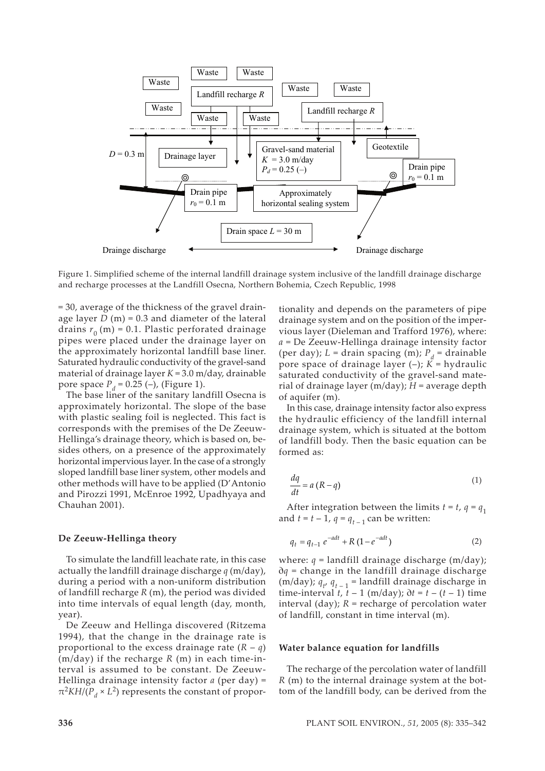

Figure 1. Simplified scheme of the internal landfill drainage system inclusive of the landfill drainage discharge and recharge processes at the Landfill Osecna, Northern Bohemia, Czech Republic, 1998

= 30, average of the thickness of the gravel drain-<br>tionality and depends on the parameters age layer  $D$  (m) = 0.3 and diameter of the lateral drains  $r_0$  (m) = 0.1. Plastic perforated drainage pipes were placed under the drainage layer on the approximately horizontal landfill base liner. Saturated hydraulic conductivity of the gravel-sand material of drainage layer *K* = 3.0 m/day, drainable pore space  $P_d = 0.25$  (-), (Figure 1).

The base liner of the sanitary landfill Osecna is approximately horizontal. The slope of the base with plastic sealing foil is neglected. This fact is corresponds with the premises of the De Zeeuw-Hellinga's drainage theory, which is based on, besides others, on a presence of the approximately horizontal impervious layer. In the case of a strongly sloped landfill base liner system, other models and other methods will have to be applied (D'Antonio and Pirozzi 1991, McEnroe 1992, Upadhyaya and  $\frac{d}{dt}$ Chauhan 2001). t ri<br>g<br>the

## Czech Republic, 1998

To simulate the landfill leachate rate, in this case actually the landfill drainage discharge *q* (m/day), during a period with a non-uniform distribution of landfill recharge *R* (m), the period was divided into time intervals of equal length (day, month, year).

De Zeeuw and Hellinga discovered (Ritzema 1994), that the change in the drainage rate is proportional to the excess drainage rate  $(R - q)$ (m/day) if the recharge *R* (m) in each time-interval is assumed to be constant. De Zeeuw-Hellinga drainage intensity factor *a* (per day) =  $\pi^2 KH / (P_d \times L^2)$  represents the constant of propor-

 $\alpha$  discusses of the gravel drain-<br>including the lateral order processes at the lateral order processes at the lateral order processes at the lateral order processes at the lateral order processes at the lateral order pr drainage system and on the position of the impervious layer (Dieleman and Trafford 1976), where: *a* = De Zeeuw-Hellinga drainage intensity factor (per day);  $L = \text{drain spacing (m)}$ ;  $P_d = \text{drainable}$ pore space of drainage layer (–); *K* = hydraulic saturated conductivity of the gravel-sand material of drainage layer (m/day);  $H$  = average depth of aquifer (m).

In this case, drainage intensity factor also express the hydraulic efficiency of the landfill internal drainage system, which is situated at the bottom of landfill body. Then the basic equation can be formed as:

$$
\frac{dq}{dt} = a(R - q) \tag{1}
$$

After integration between the limits  $t = t$ ,  $q = q_1$ and  $t = t - 1$ ,  $q = q_{t-1}$  can be written:

**De Zeeuw-Hellinga theory** 
$$
q_t = q_{t-1} e^{-adt} + R (1 - e^{-adt})
$$
 (2)

where:  $q =$  landfill drainage discharge (m/day); ∂*q* = change in the landfill drainage discharge (m/day);  $q_{t^\prime}$   $q_{t-1}$  = landfill drainage discharge in time-interval *t*, *t* – 1 (m/day); ∂*t* = *t* – (*t* – 1) time interval (day);  $R$  = recharge of percolation water of landfill, constant in time interval (m).

#### **Water balance equation for landfills**

The recharge of the percolation water of landfill *R* (m) to the internal drainage system at the bottom of the landfill body, can be derived from the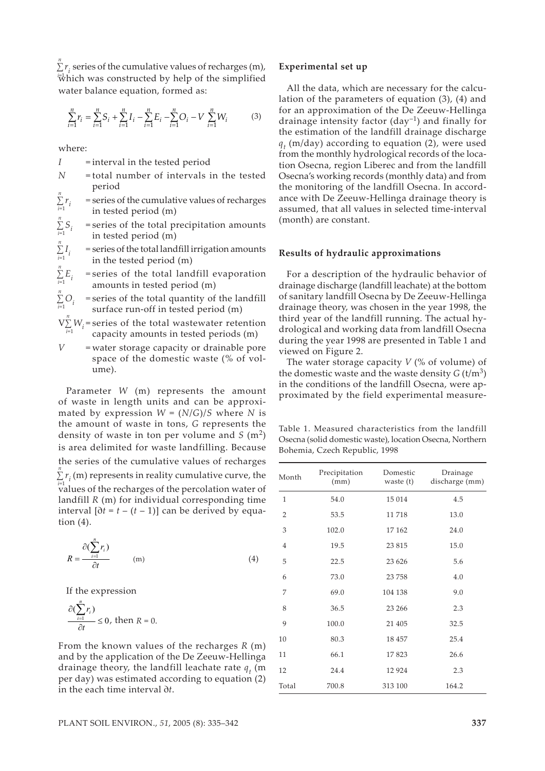$\sum_{i=1}^{n} r_i$  series of the cumulative values of recharges (m),  $\frac{i}{w}$ hich was constructed by help of the simplified water balance equation, formed as:

$$
\sum_{i=1}^{n} r_i = \sum_{i=1}^{n} S_i + \sum_{i=1}^{n} I_i - \sum_{i=1}^{n} E_i - \sum_{i=1}^{n} O_i - V \sum_{i=1}^{n} W_i
$$
 (3)

where:

- *I* = interval in the tested period
- *N* = total number of intervals in the tested period *<sup>n</sup>*
- ∑ *i*=1 *ri =* series of the cumulative values of recharges in tested period (m) *<sup>n</sup>*
- ∑ *i*=1 = series of the total precipitation amounts in tested period (m)
- $\sum_{i=1}$ *I <sup>i</sup> =* series of the total landfill irrigation amounts in the tested period (m)
- ∑ *i*=1 *Ei =* series of the total landfill evaporation amounts in tested period (m)
- ∑ *i*=1 = series of the total quantity of the landfill surface run-off in tested period (m)
- $V_{\sum_{i=1}^{n}W_i}^{\frac{n}{2}}$  = series of the total wastewater retention *i*=1 capacity amounts in tested periods (m)
- *V* = water storage capacity or drainable pore space of the domestic waste (% of volume).

Parameter *W* (m) represents the amount of waste in length units and can be approximated by expression  $W = (N/G)/S$  where *N* is the amount of waste in tons, *G* represents the density of waste in ton per volume and *S* (m2) is area delimited for waste landfilling. Because the series of the cumulative values of recharges  $\sum_{i=1}^{n} r_i$  (m) represents in reality cumulative curve, the values of the recharges of the percolation water of landfill *R* (m) for individual corresponding time interval [∂*t* = *t* – (*t* – 1)] can be derived by equation (4).

$$
R = \frac{\partial(\sum_{i=1}^{n} r_i)}{\partial t} \tag{4}
$$

If the expression

$$
\frac{\partial(\sum_{i=1}^{n} r_i)}{\partial t} \le 0, \text{ then } R = 0.
$$

From the known values of the recharges *R* (m) and by the application of the De Zeeuw-Hellinga drainage theory, the landfill leachate rate  $q_t$  (m per day) was estimated according to equation (2) in the each time interval ∂*t*.

#### **Experimental set up**

All the data, which are necessary for the calculation of the parameters of equation (3), (4) and for an approximation of the De Zeeuw-Hellinga drainage intensity factor  $(day^{-1})$  and finally for the estimation of the landfill drainage discharge  $q_t$  (m/day) according to equation (2), were used from the monthly hydrological records of the location Osecna, region Liberec and from the landfill Osecna's working records (monthly data) and from the monitoring of the landfill Osecna. In accordance with De Zeeuw-Hellinga drainage theory is assumed, that all values in selected time-interval (month) are constant.

## **Results of hydraulic approximations**

For a description of the hydraulic behavior of drainage discharge (landfill leachate) at the bottom of sanitary landfill Osecna by De Zeeuw-Hellinga drainage theory, was chosen in the year 1998, the third year of the landfill running. The actual hydrological and working data from landfill Osecna during the year 1998 are presented in Table 1 and viewed on Figure 2.

The water storage capacity *V* (% of volume) of the domestic waste and the waste density  $G(t/m^3)$ in the conditions of the landfill Osecna, were approximated by the field experimental measure-

Table 1. Measured characteristics from the landfill Osecna (solid domestic waste), location Osecna, Northern Bohemia, Czech Republic, 1998

| Month          | Precipitation<br>(mm) | Domestic<br>waste (t) | Drainage<br>discharge (mm) |
|----------------|-----------------------|-----------------------|----------------------------|
| $\mathbf{1}$   | 54.0                  | 15 014                | 4.5                        |
| $\overline{2}$ | 53.5                  | 11718                 | 13.0                       |
| 3              | 102.0                 | 17 162                | 24.0                       |
| $\overline{4}$ | 19.5                  | 23 815                | 15.0                       |
| 5              | 22.5                  | 23 6 26               | 5.6                        |
| 6              | 73.0                  | 23 758                | 4.0                        |
| 7              | 69.0                  | 104 138               | 9.0                        |
| 8              | 36.5                  | 23 26 6               | 2.3                        |
| 9              | 100.0                 | 21 405                | 32.5                       |
| 10             | 80.3                  | 18 457                | 25.4                       |
| 11             | 66.1                  | 17823                 | 26.6                       |
| 12             | 24.4                  | 12 9 24               | 2.3                        |
| Total          | 700.8                 | 313 100               | 164.2                      |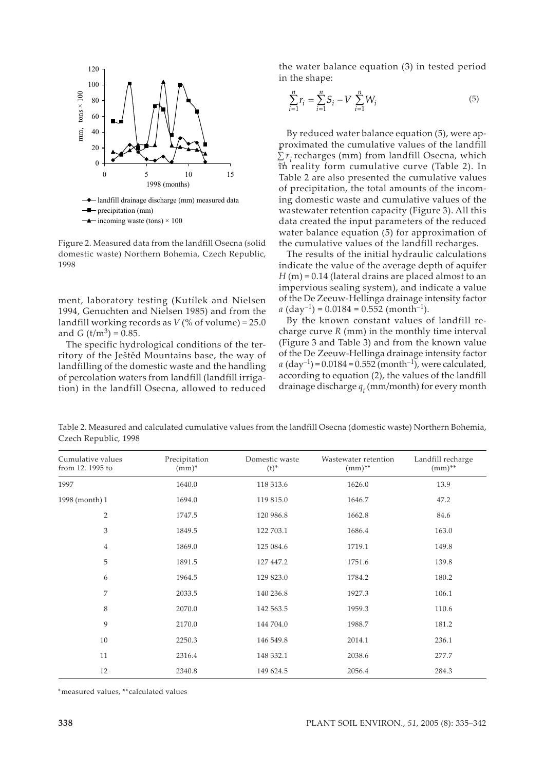

Figure 2. Measured data from the landfill Osecna (solid domestic waste) Northern Bohemia, Czech Republic, 1998

ment, laboratory testing (Kutílek and Nielsen 1994, Genuchten and Nielsen 1985) and from the landfill working records as  $V$  (% of volume) = 25.0 and *G* ( $t/m^3$ ) = 0.85.

The specific hydrological conditions of the territory of the Ještěd Mountains base, the way of landfilling of the domestic waste and the handling of percolation waters from landfill (landfill irrigation) in the landfill Osecna, allowed to reduced

the water balance equation (3) in tested period in the shape:

$$
\sum_{i=1}^{n} r_i = \sum_{i=1}^{n} S_i - V \sum_{i=1}^{n} W_i
$$
\n(5)

By reduced water balance equation (5), were approximated the cumulative values of the landfill *n*  $\sum r_i$  recharges (mm) from landfill Osecna, which  $\bar{h}$  reality form cumulative curve (Table 2). In Table 2 are also presented the cumulative values of precipitation, the total amounts of the incoming domestic waste and cumulative values of the wastewater retention capacity (Figure 3). All this data created the input parameters of the reduced water balance equation (5) for approximation of the cumulative values of the landfill recharges.

The results of the initial hydraulic calculations indicate the value of the average depth of aquifer *H* (m) = 0.14 (lateral drains are placed almost to an impervious sealing system), and indicate a value of the De Zeeuw-Hellinga drainage intensity factor  $a$  (day<sup>-1</sup>) = 0.0184 = 0.552 (month<sup>-1</sup>).

By the known constant values of landfill recharge curve *R* (mm) in the monthly time interval (Figure 3 and Table 3) and from the known value of the De Zeeuw-Hellinga drainage intensity factor *a*  $(day^{-1}) = 0.0184 = 0.552$  (month<sup>-1</sup>), were calculated, according to equation (2), the values of the landfill drainage discharge  $q_t$  (mm/month) for every month

Table 2. Measured and calculated cumulative values from the landfill Osecna (domestic waste) Northern Bohemia, Czech Republic, 1998

| Cumulative values<br>from 12. 1995 to | Precipitation<br>$(mm)^*$ | Domestic waste<br>$(t)^*$ | Wastewater retention<br>$(mm)^{**}$ | Landfill recharge<br>$(mm)^{**}$ |
|---------------------------------------|---------------------------|---------------------------|-------------------------------------|----------------------------------|
| 1997                                  | 1640.0                    | 118 313.6                 | 1626.0                              | 13.9                             |
| 1998 (month) 1                        | 1694.0                    | 119 815.0                 | 1646.7                              | 47.2                             |
| 2                                     | 1747.5                    | 120 986.8                 | 1662.8                              | 84.6                             |
| 3                                     | 1849.5                    | 122 703.1                 | 1686.4                              | 163.0                            |
| $\overline{4}$                        | 1869.0                    | 125 084.6                 | 1719.1                              | 149.8                            |
| 5                                     | 1891.5                    | 127 447.2                 | 1751.6                              | 139.8                            |
| 6                                     | 1964.5                    | 129 823.0                 | 1784.2                              | 180.2                            |
| 7                                     | 2033.5                    | 140 236.8                 | 1927.3                              | 106.1                            |
| 8                                     | 2070.0                    | 142 563.5                 | 1959.3                              | 110.6                            |
| 9                                     | 2170.0                    | 144 704.0                 | 1988.7                              | 181.2                            |
| 10                                    | 2250.3                    | 146 549.8                 | 2014.1                              | 236.1                            |
| 11                                    | 2316.4                    | 148 332.1                 | 2038.6                              | 277.7                            |
| 12                                    | 2340.8                    | 149 624.5                 | 2056.4                              | 284.3                            |

\*measured values, \*\*calculated values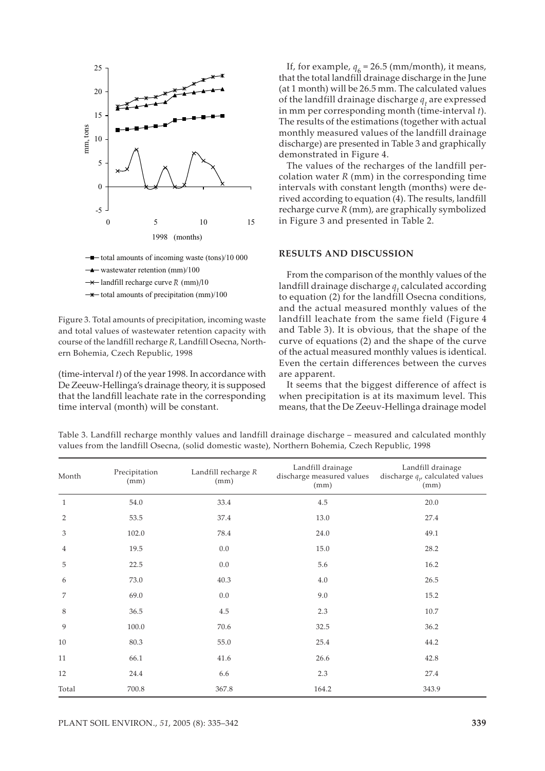

 $-\blacksquare$  total amounts of incoming waste (tons)/10 000

 $\rightarrow$  wastewater retention (mm)/100

landfill recharge curve R (mm)/10

 $\rightarrow$  total amounts of precipitation (mm)/100

Figure 3. Total amounts of precipitation, incoming waste and total values of wastewater retention capacity with course of the landfill recharge *R*, Landfill Osecna, Northern Bohemia, Czech Republic, 1998

(time-interval *t*) of the year 1998. In accordance with De Zeeuw-Hellinga's drainage theory, it is supposed that the landfill leachate rate in the corresponding time interval (month) will be constant.

If, for example,  $q_6 = 26.5$  (mm/month), it means, that the total landfill drainage discharge in the June (at 1 month) will be 26.5 mm. The calculated values of the landfill drainage discharge  $q_t$  are expressed in mm per corresponding month (time-interval *t*). The results of the estimations (together with actual monthly measured values of the landfill drainage discharge) are presented in Table 3 and graphically demonstrated in Figure 4.

The values of the recharges of the landfill percolation water *R* (mm) in the corresponding time intervals with constant length (months) were derived according to equation (4). The results, landfill recharge curve *R* (mm), are graphically symbolized in Figure 3 and presented in Table 2.

#### **RESULTS AND DISCUSSION**

From the comparison of the monthly values of the landfill drainage discharge  $q_t$  calculated according to equation (2) for the landfill Osecna conditions, and the actual measured monthly values of the landfill leachate from the same field (Figure 4 and Table 3). It is obvious, that the shape of the curve of equations (2) and the shape of the curve of the actual measured monthly values is identical. Even the certain differences between the curves are apparent.

It seems that the biggest difference of affect is when precipitation is at its maximum level. This means, that the De Zeeuv-Hellinga drainage model

| Month        | Precipitation<br>(mm) | Landfill recharge R<br>(mm) | Landfill drainage<br>discharge measured values<br>(mm) | Landfill drainage<br>discharge $q_{\mu}$ calculated values<br>(mm) |
|--------------|-----------------------|-----------------------------|--------------------------------------------------------|--------------------------------------------------------------------|
| $\mathbf{1}$ | 54.0                  | 33.4                        | 4.5                                                    | 20.0                                                               |
| 2            | 53.5                  | 37.4                        | 13.0                                                   | 27.4                                                               |
| 3            | 102.0                 | 78.4                        | 24.0                                                   | 49.1                                                               |
| 4            | 19.5                  | 0.0                         | 15.0                                                   | 28.2                                                               |
| 5            | 22.5                  | 0.0                         | 5.6                                                    | 16.2                                                               |
| 6            | 73.0                  | 40.3                        | 4.0                                                    | 26.5                                                               |
| 7            | 69.0                  | 0.0                         | 9.0                                                    | 15.2                                                               |
| $\,8\,$      | 36.5                  | 4.5                         | 2.3                                                    | 10.7                                                               |
| 9            | 100.0                 | 70.6                        | 32.5                                                   | 36.2                                                               |
| 10           | 80.3                  | 55.0                        | 25.4                                                   | 44.2                                                               |
| 11           | 66.1                  | 41.6                        | 26.6                                                   | 42.8                                                               |
| 12           | 24.4                  | 6.6                         | 2.3                                                    | 27.4                                                               |
| Total        | 700.8                 | 367.8                       | 164.2                                                  | 343.9                                                              |

Table 3. Landfill recharge monthly values and landfill drainage discharge – measured and calculated monthly values from the landfill Osecna, (solid domestic waste), Northern Bohemia, Czech Republic, 1998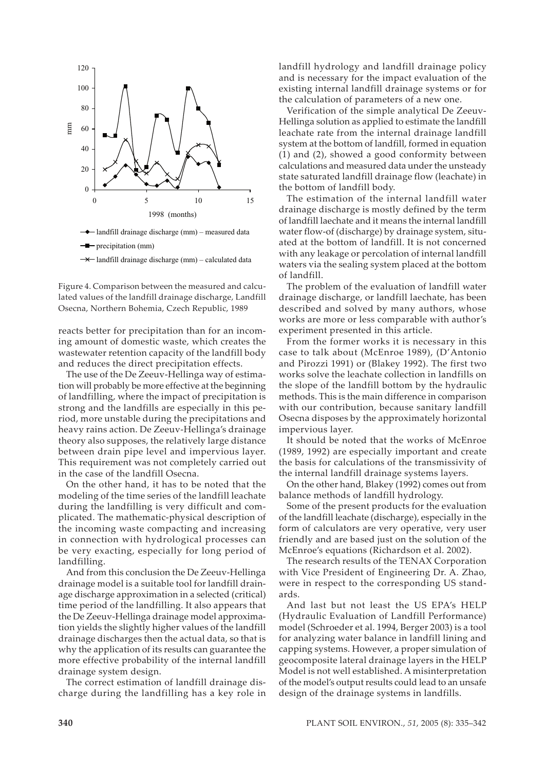

Figure 4. Comparison between the measured and calcu-<br>The problem of the ev lated values of the landfill drainage discharge, Landfill — drainage disc Osecna, Northern Bohemia, Czech Republic, 1989

reacts better for precipitation than for an incoming amount of domestic waste, which creates the wastewater retention capacity of the landfill body and reduces the direct precipitation effects.

The use of the De Zeeuv-Hellinga way of estimation will probably be more effective at the beginning of landfilling, where the impact of precipitation is strong and the landfills are especially in this period, more unstable during the precipitations and heavy rains action. De Zeeuv-Hellinga's drainage theory also supposes, the relatively large distance between drain pipe level and impervious layer. This requirement was not completely carried out in the case of the landfill Osecna.

On the other hand, it has to be noted that the modeling of the time series of the landfill leachate during the landfilling is very difficult and complicated. The mathematic-physical description of the incoming waste compacting and increasing in connection with hydrological processes can be very exacting, especially for long period of landfilling.

And from this conclusion the De Zeeuv-Hellinga drainage model is a suitable tool for landfill drainage discharge approximation in a selected (critical) time period of the landfilling. It also appears that the De Zeeuv-Hellinga drainage model approximation yields the slightly higher values of the landfill drainage discharges then the actual data, so that is why the application of its results can guarantee the more effective probability of the internal landfill drainage system design.

The correct estimation of landfill drainage discharge during the landfilling has a key role in landfill hydrology and landfill drainage policy and is necessary for the impact evaluation of the existing internal landfill drainage systems or for the calculation of parameters of a new one.

Verification of the simple analytical De Zeeuv-Hellinga solution as applied to estimate the landfill leachate rate from the internal drainage landfill system at the bottom of landfill, formed in equation (1) and (2), showed a good conformity between calculations and measured data under the unsteady state saturated landfill drainage flow (leachate) in the bottom of landfill body.

The estimation of the internal landfill water drainage discharge is mostly defined by the term of landfill laechate and it means the internal landfill water flow-of (discharge) by drainage system, situated at the bottom of landfill. It is not concerned with any leakage or percolation of internal landfill waters via the sealing system placed at the bottom of landfill.

The problem of the evaluation of landfill water drainage discharge, or landfill laechate, has been described and solved by many authors, whose works are more or less comparable with author's experiment presented in this article.

From the former works it is necessary in this case to talk about (McEnroe 1989), (D'Antonio and Pirozzi 1991) or (Blakey 1992). The first two works solve the leachate collection in landfills on the slope of the landfill bottom by the hydraulic methods. This is the main difference in comparison with our contribution, because sanitary landfill Osecna disposes by the approximately horizontal impervious layer.

It should be noted that the works of McEnroe (1989, 1992) are especially important and create the basis for calculations of the transmissivity of the internal landfill drainage systems layers.

On the other hand, Blakey (1992) comes out from balance methods of landfill hydrology.

Some of the present products for the evaluation of the landfill leachate (discharge), especially in the form of calculators are very operative, very user friendly and are based just on the solution of the McEnroe's equations (Richardson et al. 2002).

The research results of the TENAX Corporation with Vice President of Engineering Dr. A. Zhao, were in respect to the corresponding US standards.

And last but not least the US EPA's HELP (Hydraulic Evaluation of Landfill Performance) model (Schroeder et al. 1994, Berger 2003) is a tool for analyzing water balance in landfill lining and capping systems. However, a proper simulation of geocomposite lateral drainage layers in the HELP Model is not well established. A misinterpretation of the model's output results could lead to an unsafe design of the drainage systems in landfills.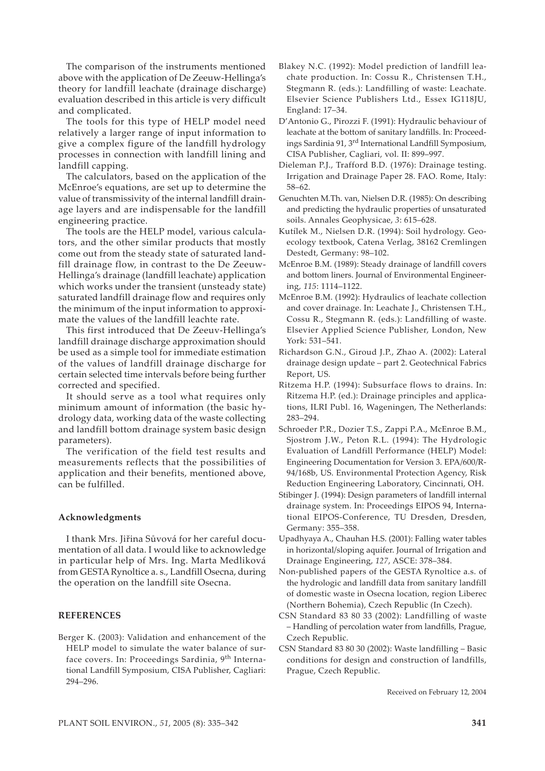The comparison of the instruments mentioned above with the application of De Zeeuw-Hellinga's theory for landfill leachate (drainage discharge) evaluation described in this article is very difficult and complicated.

The tools for this type of HELP model need relatively a larger range of input information to give a complex figure of the landfill hydrology processes in connection with landfill lining and landfill capping.

The calculators, based on the application of the McEnroe's equations, are set up to determine the value of transmissivity of the internal landfill drainage layers and are indispensable for the landfill engineering practice.

The tools are the HELP model, various calculators, and the other similar products that mostly come out from the steady state of saturated landfill drainage flow, in contrast to the De Zeeuw-Hellinga's drainage (landfill leachate) application which works under the transient (unsteady state) saturated landfill drainage flow and requires only the minimum of the input information to approximate the values of the landfill leachte rate.

This first introduced that De Zeeuv-Hellinga's landfill drainage discharge approximation should be used as a simple tool for immediate estimation of the values of landfill drainage discharge for certain selected time intervals before being further corrected and specified.

It should serve as a tool what requires only minimum amount of information (the basic hydrology data, working data of the waste collecting and landfill bottom drainage system basic design parameters).

The verification of the field test results and measurements reflects that the possibilities of application and their benefits, mentioned above, can be fulfilled.

## **Acknowledgments**

I thank Mrs. Jiřina Sůvová for her careful documentation of all data. I would like to acknowledge in particular help of Mrs. Ing. Marta Medliková from GESTA Rynoltice a. s., Landfill Osecna, during the operation on the landfill site Osecna.

## **REFERENCES**

Berger K. (2003): Validation and enhancement of the HELP model to simulate the water balance of surface covers. In: Proceedings Sardinia, 9<sup>th</sup> International Landfill Symposium, CISA Publisher, Cagliari: 294–296.

- Blakey N.C. (1992): Model prediction of landfill leachate production. In: Cossu R., Christensen T.H., Stegmann R. (eds.): Landfilling of waste: Leachate. Elsevier Science Publishers Ltd., Essex IG118JU, England: 17–34.
- D'Antonio G., Pirozzi F. (1991): Hydraulic behaviour of leachate at the bottom of sanitary landfills. In: Proceedings Sardinia 91, 3rd International Landfill Symposium, CISA Publisher, Cagliari, vol. II: 899–997.

Dieleman P.J., Trafford B.D. (1976): Drainage testing. Irrigation and Drainage Paper 28. FAO. Rome, Italy: 58–62.

- Genuchten M.Th. van, Nielsen D.R. (1985): On describing and predicting the hydraulic properties of unsaturated soils. Annales Geophysicae, *3*: 615–628.
- Kutílek M., Nielsen D.R. (1994): Soil hydrology. Geoecology textbook, Catena Verlag, 38162 Cremlingen Destedt, Germany: 98–102.
- McEnroe B.M. (1989): Steady drainage of landfill covers and bottom liners. Journal of Environmental Engineering, *115*: 1114–1122.
- McEnroe B.M. (1992): Hydraulics of leachate collection and cover drainage. In: Leachate J., Christensen T.H., Cossu R., Stegmann R. (eds.): Landfilling of waste. Elsevier Applied Science Publisher, London, New York: 531–541.
- Richardson G.N., Giroud J.P., Zhao A. (2002): Lateral drainage design update – part 2. Geotechnical Fabrics Report, US.
- Ritzema H.P. (1994): Subsurface flows to drains. In: Ritzema H.P. (ed.): Drainage principles and applications, ILRI Publ. 16, Wageningen, The Netherlands: 283–294.
- Schroeder P.R., Dozier T.S., Zappi P.A., McEnroe B.M., Sjostrom J.W., Peton R.L. (1994): The Hydrologic Evaluation of Landfill Performance (HELP) Model: Engineering Documentation for Version 3. EPA/600/R-94/168b, US. Environmental Protection Agency, Risk Reduction Engineering Laboratory, Cincinnati, OH.
- Stibinger J. (1994): Design parameters of landfill internal drainage system. In: Proceedings EIPOS 94, International EIPOS-Conference, TU Dresden, Dresden, Germany: 355–358.
- Upadhyaya A., Chauhan H.S. (2001): Falling water tables in horizontal/sloping aquifer. Journal of Irrigation and Drainage Engineering, *127*, ASCE: 378–384.
- Non-published papers of the GESTA Rynoltice a.s. of the hydrologic and landfill data from sanitary landfill of domestic waste in Osecna location, region Liberec (Northern Bohemia), Czech Republic (In Czech).
- CSN Standard 83 80 33 (2002): Landfilling of waste – Handling of percolation water from landfills, Prague, Czech Republic.
- CSN Standard 83 80 30 (2002): Waste landfilling Basic conditions for design and construction of landfills, Prague, Czech Republic.